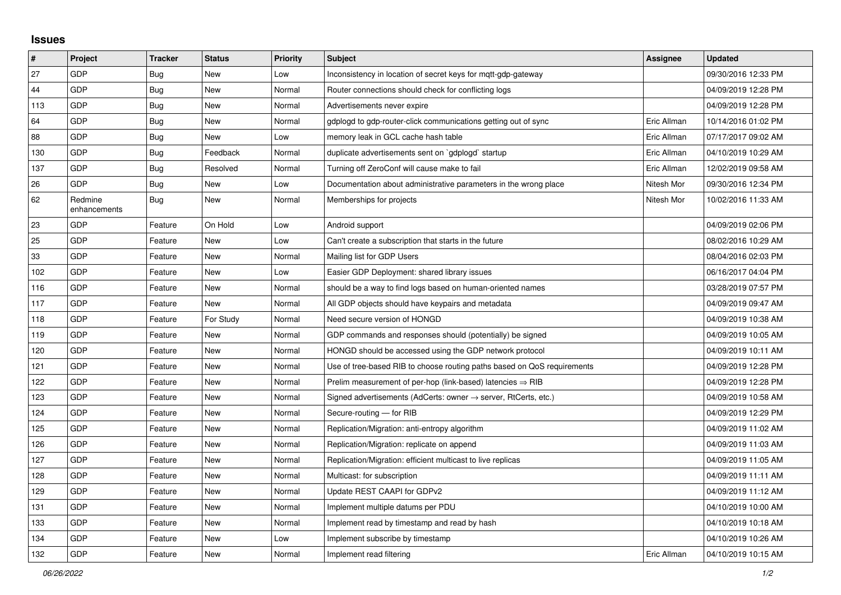## **Issues**

| #   | Project                 | <b>Tracker</b> | <b>Status</b> | <b>Priority</b> | <b>Subject</b>                                                             | Assignee    | <b>Updated</b>      |
|-----|-------------------------|----------------|---------------|-----------------|----------------------------------------------------------------------------|-------------|---------------------|
| 27  | GDP                     | <b>Bug</b>     | <b>New</b>    | Low             | Inconsistency in location of secret keys for mqtt-gdp-gateway              |             | 09/30/2016 12:33 PM |
| 44  | GDP                     | <b>Bug</b>     | <b>New</b>    | Normal          | Router connections should check for conflicting logs                       |             | 04/09/2019 12:28 PM |
| 113 | GDP                     | <b>Bug</b>     | <b>New</b>    | Normal          | Advertisements never expire                                                |             | 04/09/2019 12:28 PM |
| 64  | GDP                     | <b>Bug</b>     | <b>New</b>    | Normal          | gdplogd to gdp-router-click communications getting out of sync             | Eric Allman | 10/14/2016 01:02 PM |
| 88  | GDP                     | Bug            | <b>New</b>    | Low             | memory leak in GCL cache hash table                                        | Eric Allman | 07/17/2017 09:02 AM |
| 130 | GDP                     | <b>Bug</b>     | Feedback      | Normal          | duplicate advertisements sent on `gdplogd` startup                         | Eric Allman | 04/10/2019 10:29 AM |
| 137 | GDP                     | Bug            | Resolved      | Normal          | Turning off ZeroConf will cause make to fail                               | Eric Allman | 12/02/2019 09:58 AM |
| 26  | GDP                     | <b>Bug</b>     | <b>New</b>    | Low             | Documentation about administrative parameters in the wrong place           | Nitesh Mor  | 09/30/2016 12:34 PM |
| 62  | Redmine<br>enhancements | Bug            | <b>New</b>    | Normal          | Memberships for projects                                                   | Nitesh Mor  | 10/02/2016 11:33 AM |
| 23  | GDP                     | Feature        | On Hold       | Low             | Android support                                                            |             | 04/09/2019 02:06 PM |
| 25  | GDP                     | Feature        | <b>New</b>    | Low             | Can't create a subscription that starts in the future                      |             | 08/02/2016 10:29 AM |
| 33  | GDP                     | Feature        | <b>New</b>    | Normal          | Mailing list for GDP Users                                                 |             | 08/04/2016 02:03 PM |
| 102 | GDP                     | Feature        | <b>New</b>    | Low             | Easier GDP Deployment: shared library issues                               |             | 06/16/2017 04:04 PM |
| 116 | GDP                     | Feature        | <b>New</b>    | Normal          | should be a way to find logs based on human-oriented names                 |             | 03/28/2019 07:57 PM |
| 117 | GDP                     | Feature        | <b>New</b>    | Normal          | All GDP objects should have keypairs and metadata                          |             | 04/09/2019 09:47 AM |
| 118 | GDP                     | Feature        | For Study     | Normal          | Need secure version of HONGD                                               |             | 04/09/2019 10:38 AM |
| 119 | GDP                     | Feature        | <b>New</b>    | Normal          | GDP commands and responses should (potentially) be signed                  |             | 04/09/2019 10:05 AM |
| 120 | GDP                     | Feature        | <b>New</b>    | Normal          | HONGD should be accessed using the GDP network protocol                    |             | 04/09/2019 10:11 AM |
| 121 | GDP                     | Feature        | <b>New</b>    | Normal          | Use of tree-based RIB to choose routing paths based on QoS requirements    |             | 04/09/2019 12:28 PM |
| 122 | GDP                     | Feature        | New           | Normal          | Prelim measurement of per-hop (link-based) latencies $\Rightarrow$ RIB     |             | 04/09/2019 12:28 PM |
| 123 | GDP                     | Feature        | <b>New</b>    | Normal          | Signed advertisements (AdCerts: owner $\rightarrow$ server, RtCerts, etc.) |             | 04/09/2019 10:58 AM |
| 124 | GDP                     | Feature        | New           | Normal          | Secure-routing - for RIB                                                   |             | 04/09/2019 12:29 PM |
| 125 | GDP                     | Feature        | <b>New</b>    | Normal          | Replication/Migration: anti-entropy algorithm                              |             | 04/09/2019 11:02 AM |
| 126 | GDP                     | Feature        | New           | Normal          | Replication/Migration: replicate on append                                 |             | 04/09/2019 11:03 AM |
| 127 | GDP                     | Feature        | New           | Normal          | Replication/Migration: efficient multicast to live replicas                |             | 04/09/2019 11:05 AM |
| 128 | GDP                     | Feature        | <b>New</b>    | Normal          | Multicast: for subscription                                                |             | 04/09/2019 11:11 AM |
| 129 | GDP                     | Feature        | <b>New</b>    | Normal          | Update REST CAAPI for GDPv2                                                |             | 04/09/2019 11:12 AM |
| 131 | GDP                     | Feature        | <b>New</b>    | Normal          | Implement multiple datums per PDU                                          |             | 04/10/2019 10:00 AM |
| 133 | GDP                     | Feature        | New           | Normal          | Implement read by timestamp and read by hash                               |             | 04/10/2019 10:18 AM |
| 134 | GDP                     | Feature        | <b>New</b>    | Low             | Implement subscribe by timestamp                                           |             | 04/10/2019 10:26 AM |
| 132 | GDP                     | Feature        | <b>New</b>    | Normal          | Implement read filtering                                                   | Eric Allman | 04/10/2019 10:15 AM |